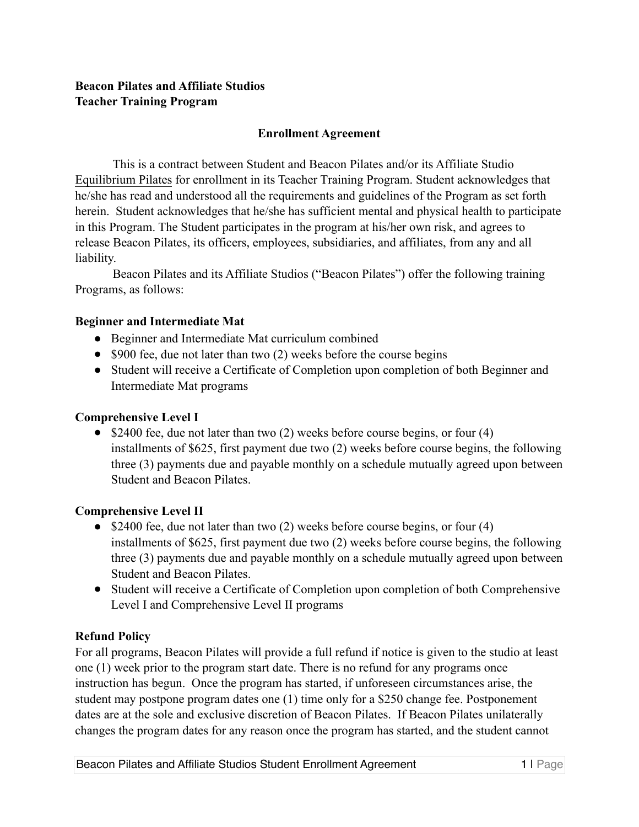# **Beacon Pilates and Affiliate Studios Teacher Training Program**

# **Enrollment Agreement**

This is a contract between Student and Beacon Pilates and/or its Affiliate Studio Equilibrium Pilates for enrollment in its Teacher Training Program. Student acknowledges that he/she has read and understood all the requirements and guidelines of the Program as set forth herein. Student acknowledges that he/she has sufficient mental and physical health to participate in this Program. The Student participates in the program at his/her own risk, and agrees to release Beacon Pilates, its officers, employees, subsidiaries, and affiliates, from any and all liability.

Beacon Pilates and its Affiliate Studios ("Beacon Pilates") offer the following training Programs, as follows:

## **Beginner and Intermediate Mat**

- Beginner and Intermediate Mat curriculum combined
- \$900 fee, due not later than two (2) weeks before the course begins
- Student will receive a Certificate of Completion upon completion of both Beginner and Intermediate Mat programs

## **Comprehensive Level I**

 $\bullet$  \$2400 fee, due not later than two (2) weeks before course begins, or four (4) installments of \$625, first payment due two (2) weeks before course begins, the following three (3) payments due and payable monthly on a schedule mutually agreed upon between Student and Beacon Pilates.

### **Comprehensive Level II**

- $\bullet$  \$2400 fee, due not later than two (2) weeks before course begins, or four (4) installments of \$625, first payment due two (2) weeks before course begins, the following three (3) payments due and payable monthly on a schedule mutually agreed upon between Student and Beacon Pilates.
- ! Student will receive a Certificate of Completion upon completion of both Comprehensive Level I and Comprehensive Level II programs

# **Refund Policy**

For all programs, Beacon Pilates will provide a full refund if notice is given to the studio at least one (1) week prior to the program start date. There is no refund for any programs once instruction has begun. Once the program has started, if unforeseen circumstances arise, the student may postpone program dates one (1) time only for a \$250 change fee. Postponement dates are at the sole and exclusive discretion of Beacon Pilates. If Beacon Pilates unilaterally changes the program dates for any reason once the program has started, and the student cannot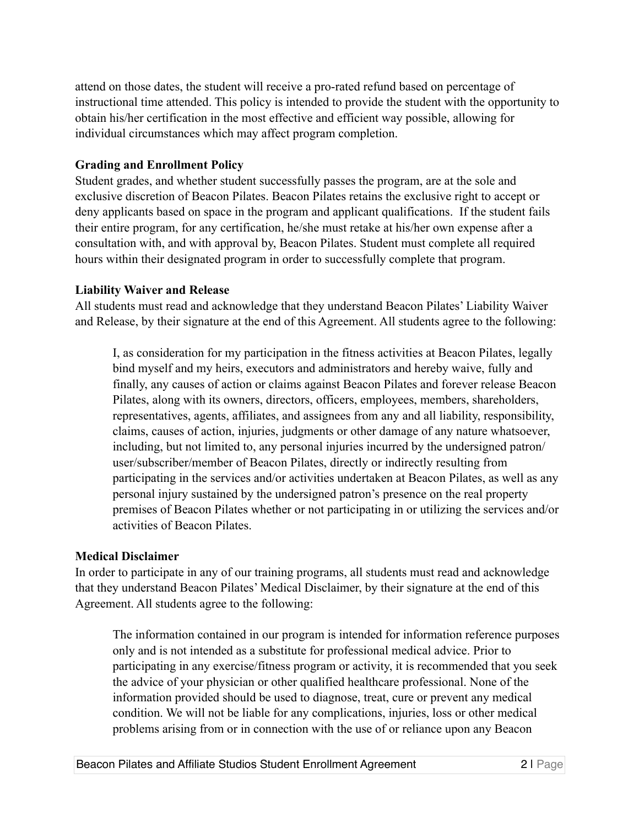attend on those dates, the student will receive a pro-rated refund based on percentage of instructional time attended. This policy is intended to provide the student with the opportunity to obtain his/her certification in the most effective and efficient way possible, allowing for individual circumstances which may affect program completion.

## **Grading and Enrollment Policy**

Student grades, and whether student successfully passes the program, are at the sole and exclusive discretion of Beacon Pilates. Beacon Pilates retains the exclusive right to accept or deny applicants based on space in the program and applicant qualifications. If the student fails their entire program, for any certification, he/she must retake at his/her own expense after a consultation with, and with approval by, Beacon Pilates. Student must complete all required hours within their designated program in order to successfully complete that program.

## **Liability Waiver and Release**

All students must read and acknowledge that they understand Beacon Pilates' Liability Waiver and Release, by their signature at the end of this Agreement. All students agree to the following:

I, as consideration for my participation in the fitness activities at Beacon Pilates, legally bind myself and my heirs, executors and administrators and hereby waive, fully and finally, any causes of action or claims against Beacon Pilates and forever release Beacon Pilates, along with its owners, directors, officers, employees, members, shareholders, representatives, agents, affiliates, and assignees from any and all liability, responsibility, claims, causes of action, injuries, judgments or other damage of any nature whatsoever, including, but not limited to, any personal injuries incurred by the undersigned patron/ user/subscriber/member of Beacon Pilates, directly or indirectly resulting from participating in the services and/or activities undertaken at Beacon Pilates, as well as any personal injury sustained by the undersigned patron's presence on the real property premises of Beacon Pilates whether or not participating in or utilizing the services and/or activities of Beacon Pilates.

### **Medical Disclaimer**

In order to participate in any of our training programs, all students must read and acknowledge that they understand Beacon Pilates' Medical Disclaimer, by their signature at the end of this Agreement. All students agree to the following:

The information contained in our program is intended for information reference purposes only and is not intended as a substitute for professional medical advice. Prior to participating in any exercise/fitness program or activity, it is recommended that you seek the advice of your physician or other qualified healthcare professional. None of the information provided should be used to diagnose, treat, cure or prevent any medical condition. We will not be liable for any complications, injuries, loss or other medical problems arising from or in connection with the use of or reliance upon any Beacon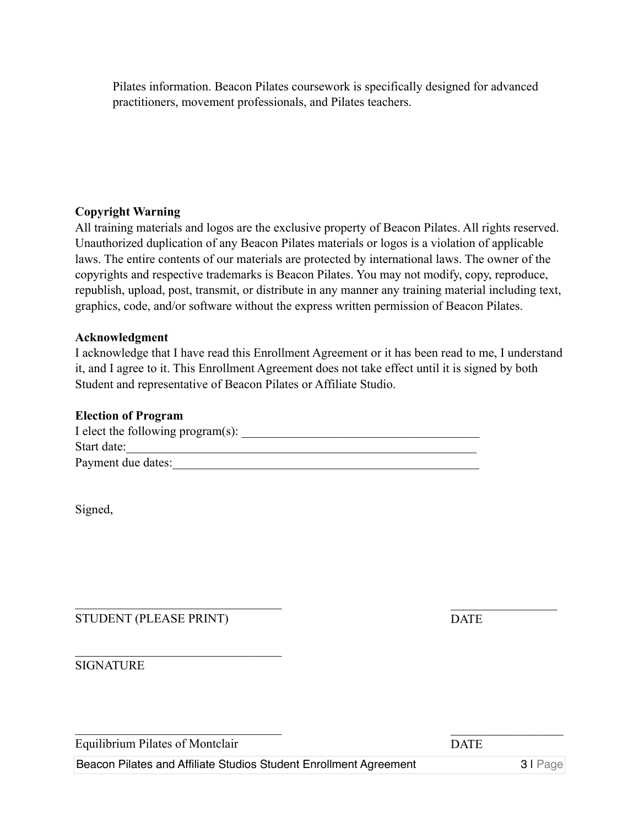Pilates information. Beacon Pilates coursework is specifically designed for advanced practitioners, movement professionals, and Pilates teachers.

### **Copyright Warning**

All training materials and logos are the exclusive property of Beacon Pilates. All rights reserved. Unauthorized duplication of any Beacon Pilates materials or logos is a violation of applicable laws. The entire contents of our materials are protected by international laws. The owner of the copyrights and respective trademarks is Beacon Pilates. You may not modify, copy, reproduce, republish, upload, post, transmit, or distribute in any manner any training material including text, graphics, code, and/or software without the express written permission of Beacon Pilates.

### **Acknowledgment**

I acknowledge that I have read this Enrollment Agreement or it has been read to me, I understand it, and I agree to it. This Enrollment Agreement does not take effect until it is signed by both Student and representative of Beacon Pilates or Affiliate Studio.

#### **Election of Program**

| I elect the following program(s): |  |
|-----------------------------------|--|
| Start date:                       |  |
| Payment due dates:                |  |

Signed,

STUDENT (PLEASE PRINT)

 $\mathcal{L}_\text{max}$  , where  $\mathcal{L}_\text{max}$  and  $\mathcal{L}_\text{max}$  and  $\mathcal{L}_\text{max}$ 

 $\mathcal{L}_\text{max}$  , where  $\mathcal{L}_\text{max}$  and  $\mathcal{L}_\text{max}$  and  $\mathcal{L}_\text{max}$ 

 $\mathcal{L}_\text{max}$  , where  $\mathcal{L}_\text{max}$  and  $\mathcal{L}_\text{max}$  and  $\mathcal{L}_\text{max}$ 

DATE

 $\mathcal{L}_\text{max}$ 

 $\mathcal{L}_\text{max}$ 

SIGNATURE

| Equilibrium Pilates of Montclair | <b>DATE</b> |
|----------------------------------|-------------|
|                                  |             |

Beacon Pilates and Affiliate Studios Student Enrollment Agreement 3 | Page